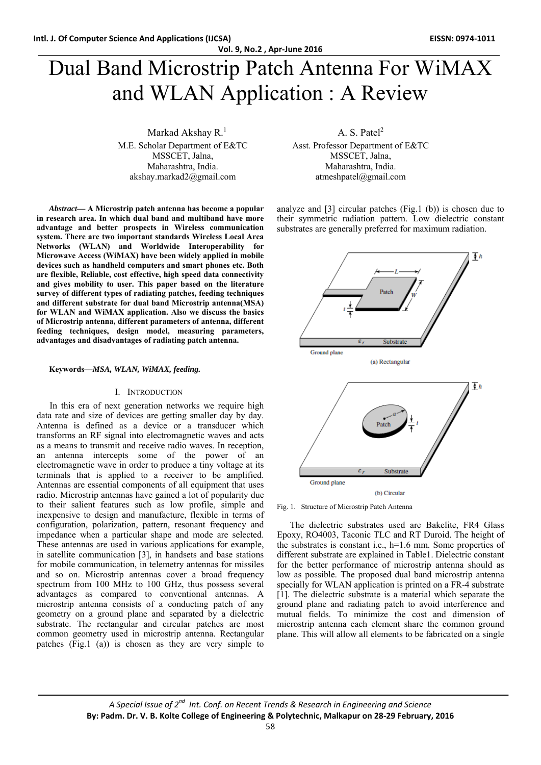# Dual Band Microstrip Patch Antenna For WiMAX and WLAN Application : A Review

Markad Akshay  $R<sup>1</sup>$ M.E. Scholar Department of E&TC MSSCET, Jalna, Maharashtra, India. akshay.markad2@gmail.com

*Abstract***— A Microstrip patch antenna has become a popular in research area. In which dual band and multiband have more advantage and better prospects in Wireless communication system. There are two important standards Wireless Local Area Networks (WLAN) and Worldwide Interoperability for Microwave Access (WiMAX) have been widely applied in mobile devices such as handheld computers and smart phones etc. Both are flexible, Reliable, cost effective, high speed data connectivity and gives mobility to user. This paper based on the literature survey of different types of radiating patches, feeding techniques and different substrate for dual band Microstrip antenna(MSA) for WLAN and WiMAX application. Also we discuss the basics of Microstrip antenna, different parameters of antenna, different feeding techniques, design model, measuring parameters, advantages and disadvantages of radiating patch antenna.** 

#### **Keywords***—MSA, WLAN, WiMAX, feeding.*

#### I. INTRODUCTION

In this era of next generation networks we require high data rate and size of devices are getting smaller day by day. Antenna is defined as a device or a transducer which transforms an RF signal into electromagnetic waves and acts as a means to transmit and receive radio waves. In reception, an antenna intercepts some of the power of an electromagnetic wave in order to produce a tiny voltage at its terminals that is applied to a receiver to be amplified. Antennas are essential components of all equipment that uses radio. Microstrip antennas have gained a lot of popularity due to their salient features such as low profile, simple and inexpensive to design and manufacture, flexible in terms of configuration, polarization, pattern, resonant frequency and impedance when a particular shape and mode are selected. These antennas are used in various applications for example, in satellite communication [3], in handsets and base stations for mobile communication, in telemetry antennas for missiles and so on. Microstrip antennas cover a broad frequency spectrum from 100 MHz to 100 GHz, thus possess several advantages as compared to conventional antennas. A microstrip antenna consists of a conducting patch of any geometry on a ground plane and separated by a dielectric substrate. The rectangular and circular patches are most common geometry used in microstrip antenna. Rectangular patches (Fig.1 (a)) is chosen as they are very simple to

A. S. Patel<sup>2</sup>

Asst. Professor Department of E&TC MSSCET, Jalna, Maharashtra, India. atmeshpatel@gmail.com

analyze and [3] circular patches (Fig.1 (b)) is chosen due to their symmetric radiation pattern. Low dielectric constant substrates are generally preferred for maximum radiation.



Fig. 1. Structure of Microstrip Patch Antenna

The dielectric substrates used are Bakelite, FR4 Glass Epoxy, RO4003, Taconic TLC and RT Duroid. The height of the substrates is constant i.e., h=1.6 mm. Some properties of different substrate are explained in Table1. Dielectric constant for the better performance of microstrip antenna should as low as possible. The proposed dual band microstrip antenna specially for WLAN application is printed on a FR-4 substrate [1]. The dielectric substrate is a material which separate the ground plane and radiating patch to avoid interference and mutual fields. To minimize the cost and dimension of microstrip antenna each element share the common ground plane. This will allow all elements to be fabricated on a single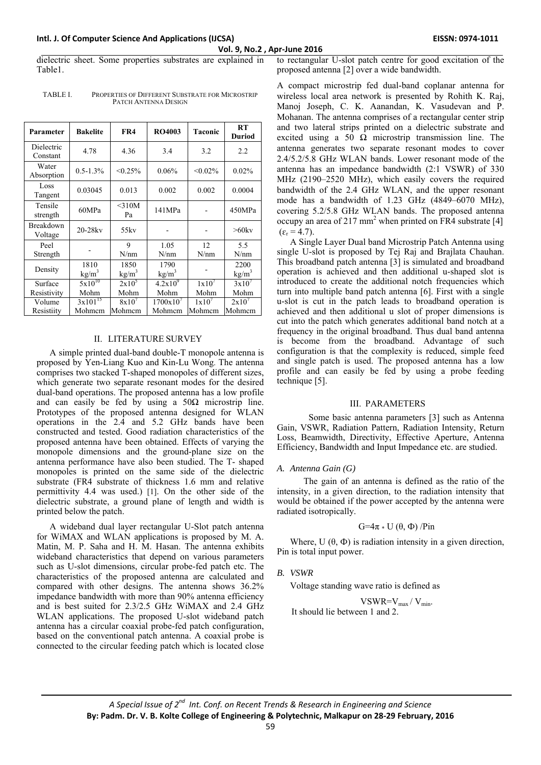**Intl. J. Of Computer Science And Applications (IJCSA) EISSN: 0974‐1011**

dielectric sheet. Some properties substrates are explained in Table1.

| <b>TABLE L</b> | PROPERTIES OF DIFFERENT SUBSTRATE FOR MICROSTRIP |
|----------------|--------------------------------------------------|
|                | PATCH ANTENNA DESIGN                             |

| Parameter              | <b>Bakelite</b>   | FR4               | <b>RO4003</b>     | <b>Taconic</b>    | RT<br><b>Duriod</b> |
|------------------------|-------------------|-------------------|-------------------|-------------------|---------------------|
| Dielectric<br>Constant | 4.78              | 4.36              | 3.4               | 3.2               | 2.2                 |
| Water<br>Absorption    | $0.5 - 1.3\%$     | $< 0.25\%$        | 0.06%             | $< 0.02\%$        | $0.02\%$            |
| Loss<br>Tangent        | 0.03045           | 0.013             | 0.002             | 0.002             | 0.0004              |
| Tensile<br>strength    | 60MPa             | $<$ 310M<br>Pa    | 141MPa            |                   | 450MPa              |
| Breakdown<br>Voltage   | $20-28$ kv        | 55ky              |                   |                   | $>60$ kv            |
| Peel                   |                   | 9                 | 1.05              | 12                | 5.5                 |
| Strength               |                   | N/nm              | N/nm              | N/nm              | N/nm                |
| Density                | 1810              | 1850              | 1790              |                   | 2200                |
|                        | kg/m <sup>3</sup> | kg/m <sup>3</sup> | kg/m <sup>3</sup> |                   | kg/m <sup>3</sup>   |
| Surface                | $5x10^{10}$       | $2x10^5$          | $4.2x10^{9}$      | $1 \times 10^{7}$ | 3x10'               |
| Resistivity            | Mohm              | Mohm              | Mohm              | Mohm              | Mohm                |
| Volume                 | $3x101^{15}$      | 8x10'             | 1700x10'          | 1x10'             | 2x10'               |
| Resistiity             | Mohmem            | Mohmem            | Mohmem            | Mohmem            | Mohmem              |

#### II. LITERATURE SURVEY

A simple printed dual-band double-T monopole antenna is proposed by Yen-Liang Kuo and Kin-Lu Wong. The antenna comprises two stacked T-shaped monopoles of different sizes, which generate two separate resonant modes for the desired dual-band operations. The proposed antenna has a low profile and can easily be fed by using a  $50\Omega$  microstrip line. Prototypes of the proposed antenna designed for WLAN operations in the 2.4 and 5.2 GHz bands have been constructed and tested. Good radiation characteristics of the proposed antenna have been obtained. Effects of varying the monopole dimensions and the ground-plane size on the antenna performance have also been studied. The T- shaped monopoles is printed on the same side of the dielectric substrate (FR4 substrate of thickness 1.6 mm and relative permittivity 4.4 was used.) [1]. On the other side of the dielectric substrate, a ground plane of length and width is printed below the patch.

A wideband dual layer rectangular U-Slot patch antenna for WiMAX and WLAN applications is proposed by M. A. Matin, M. P. Saha and H. M. Hasan. The antenna exhibits wideband characteristics that depend on various parameters such as U-slot dimensions, circular probe-fed patch etc. The characteristics of the proposed antenna are calculated and compared with other designs. The antenna shows 36.2% impedance bandwidth with more than 90% antenna efficiency and is best suited for 2.3/2.5 GHz WiMAX and 2.4 GHz WLAN applications. The proposed U-slot wideband patch antenna has a circular coaxial probe-fed patch configuration, based on the conventional patch antenna. A coaxial probe is connected to the circular feeding patch which is located close

to rectangular U-slot patch centre for good excitation of the proposed antenna [2] over a wide bandwidth.

A compact microstrip fed dual-band coplanar antenna for wireless local area network is presented by Rohith K. Raj, Manoj Joseph, C. K. Aanandan, K. Vasudevan and P. Mohanan. The antenna comprises of a rectangular center strip and two lateral strips printed on a dielectric substrate and excited using a 50  $\Omega$  microstrip transmission line. The antenna generates two separate resonant modes to cover 2.4/5.2/5.8 GHz WLAN bands. Lower resonant mode of the antenna has an impedance bandwidth (2:1 VSWR) of 330 MHz (2190–2520 MHz), which easily covers the required bandwidth of the 2.4 GHz WLAN, and the upper resonant mode has a bandwidth of 1.23 GHz (4849–6070 MHz), covering 5.2/5.8 GHz WLAN bands. The proposed antenna occupy an area of 217 mm<sup>2</sup> when printed on FR4 substrate [4]  $(\varepsilon_{\rm r} = 4.7)$ .

A Single Layer Dual band Microstrip Patch Antenna using single U-slot is proposed by Tej Raj and Brajlata Chauhan. This broadband patch antenna [3] is simulated and broadband operation is achieved and then additional u-shaped slot is introduced to create the additional notch frequencies which turn into multiple band patch antenna [6]. First with a single u-slot is cut in the patch leads to broadband operation is achieved and then additional u slot of proper dimensions is cut into the patch which generates additional band notch at a frequency in the original broadband. Thus dual band antenna is become from the broadband. Advantage of such configuration is that the complexity is reduced, simple feed and single patch is used. The proposed antenna has a low profile and can easily be fed by using a probe feeding technique [5].

#### III. PARAMETERS

 Some basic antenna parameters [3] such as Antenna Gain, VSWR, Radiation Pattern, Radiation Intensity, Return Loss, Beamwidth, Directivity, Effective Aperture, Antenna Efficiency, Bandwidth and Input Impedance etc. are studied.

### *A. Antenna Gain (G)*

 The gain of an antenna is defined as the ratio of the intensity, in a given direction, to the radiation intensity that would be obtained if the power accepted by the antenna were radiated isotropically.

$$
G=4\pi*U\left(\theta,\Phi\right)/Pin
$$

Where,  $U(\theta, \Phi)$  is radiation intensity in a given direction, Pin is total input power.

### *B. VSWR*

Voltage standing wave ratio is defined as

 $VSWR=V_{max}/V_{min}$ .

It should lie between 1 and 2.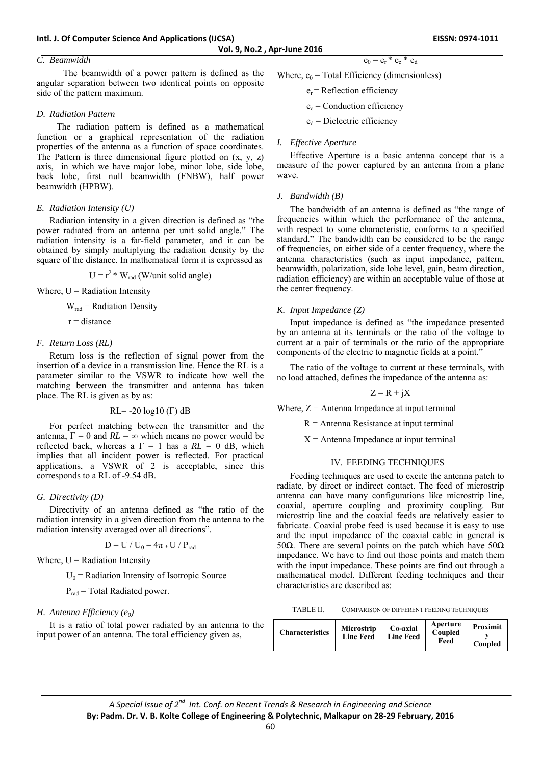### *C. Beamwidth*

 The beamwidth of a power pattern is defined as the angular separation between two identical points on opposite side of the pattern maximum.

#### *D. Radiation Pattern*

 The radiation pattern is defined as a mathematical function or a graphical representation of the radiation properties of the antenna as a function of space coordinates. The Pattern is three dimensional figure plotted on  $(x, y, z)$ axis, in which we have major lobe, minor lobe, side lobe, back lobe, first null beamwidth (FNBW), half power beamwidth (HPBW).

#### *E. Radiation Intensity (U)*

Radiation intensity in a given direction is defined as "the power radiated from an antenna per unit solid angle." The radiation intensity is a far-field parameter, and it can be obtained by simply multiplying the radiation density by the square of the distance. In mathematical form it is expressed as

 $U = r^2 * W_{rad}$  (W/unit solid angle)

Where,  $U =$  Radiation Intensity

 $W_{rad}$  = Radiation Density

 $r =$  distance

#### *F. Return Loss (RL)*

Return loss is the reflection of signal power from the insertion of a device in a transmission line. Hence the RL is a parameter similar to the VSWR to indicate how well the matching between the transmitter and antenna has taken place. The RL is given as by as:

$$
RL = -20 \log 10 \, (\Gamma) \, dB
$$

For perfect matching between the transmitter and the antenna,  $\Gamma = 0$  and  $RL = \infty$  which means no power would be reflected back, whereas a  $\Gamma = 1$  has a  $RL = 0$  dB, which implies that all incident power is reflected. For practical applications, a VSWR of 2 is acceptable, since this corresponds to a RL of -9.54 dB.

#### *G. Directivity (D)*

Directivity of an antenna defined as "the ratio of the radiation intensity in a given direction from the antenna to the radiation intensity averaged over all directions".

$$
D = U / U_0 = 4\pi * U / P_{rad}
$$

Where,  $U =$  Radiation Intensity

 $U_0$  = Radiation Intensity of Isotropic Source

 $P_{rad}$  = Total Radiated power.

#### *H. Antenna Efficiency* (e<sub>0</sub>)

It is a ratio of total power radiated by an antenna to the input power of an antenna. The total efficiency given as,

Where, 
$$
e_0
$$
 = Total Efficiency (dimensionless)

 $e_r$  = Reflection efficiency

 $e_c$  = Conduction efficiency

 $e_d$  = Dielectric efficiency

#### *I. Effective Aperture*

Effective Aperture is a basic antenna concept that is a measure of the power captured by an antenna from a plane wave.

 $e_0 = e_r * e_c * e_d$ 

#### *J. Bandwidth (B)*

The bandwidth of an antenna is defined as "the range of frequencies within which the performance of the antenna, with respect to some characteristic, conforms to a specified standard." The bandwidth can be considered to be the range of frequencies, on either side of a center frequency, where the antenna characteristics (such as input impedance, pattern, beamwidth, polarization, side lobe level, gain, beam direction, radiation efficiency) are within an acceptable value of those at the center frequency.

#### *K. Input Impedance (Z)*

Input impedance is defined as "the impedance presented by an antenna at its terminals or the ratio of the voltage to current at a pair of terminals or the ratio of the appropriate components of the electric to magnetic fields at a point."

The ratio of the voltage to current at these terminals, with no load attached, defines the impedance of the antenna as:

$$
Z = R + jX
$$

Where,  $Z =$  Antenna Impedance at input terminal

 $R =$  Antenna Resistance at input terminal

 $X =$  Antenna Impedance at input terminal

#### IV. FEEDING TECHNIQUES

Feeding techniques are used to excite the antenna patch to radiate, by direct or indirect contact. The feed of microstrip antenna can have many configurations like microstrip line, coaxial, aperture coupling and proximity coupling. But microstrip line and the coaxial feeds are relatively easier to fabricate. Coaxial probe feed is used because it is easy to use and the input impedance of the coaxial cable in general is 50Ω. There are several points on the patch which have  $50\Omega$ impedance. We have to find out those points and match them with the input impedance. These points are find out through a mathematical model. Different feeding techniques and their characteristics are described as:

TABLE II. COMPARISON OF DIFFERENT FEEDING TECHNIQUES

| <b>Characteristics</b> | <b>Microstrip</b><br><b>Line Feed</b> | Co-axial<br><b>Line Feed</b> | Aperture<br>Coupled<br>Feed | Proximit<br>Coupled |
|------------------------|---------------------------------------|------------------------------|-----------------------------|---------------------|
|------------------------|---------------------------------------|------------------------------|-----------------------------|---------------------|